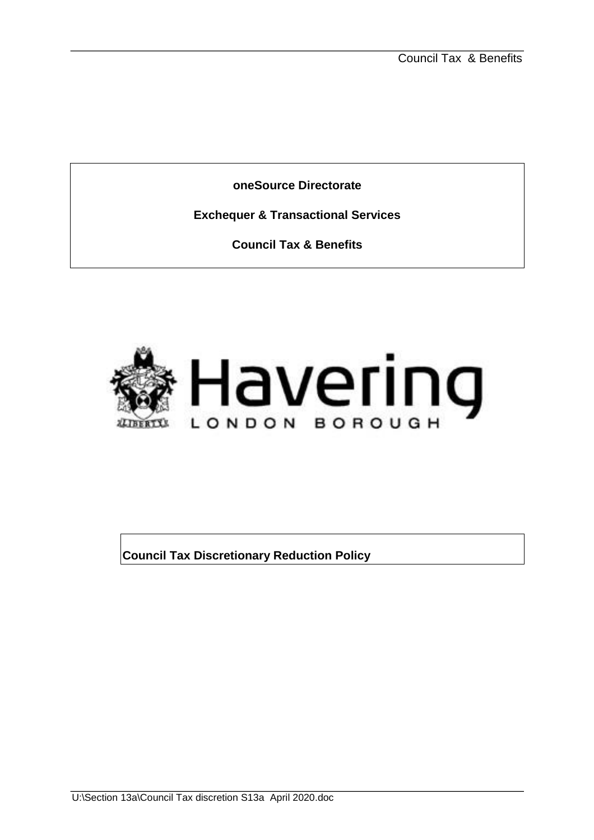**oneSource Directorate** 

**Exchequer & Transactional Services** 

**Council Tax & Benefits** 



**Council Tax Discretionary Reduction Policy**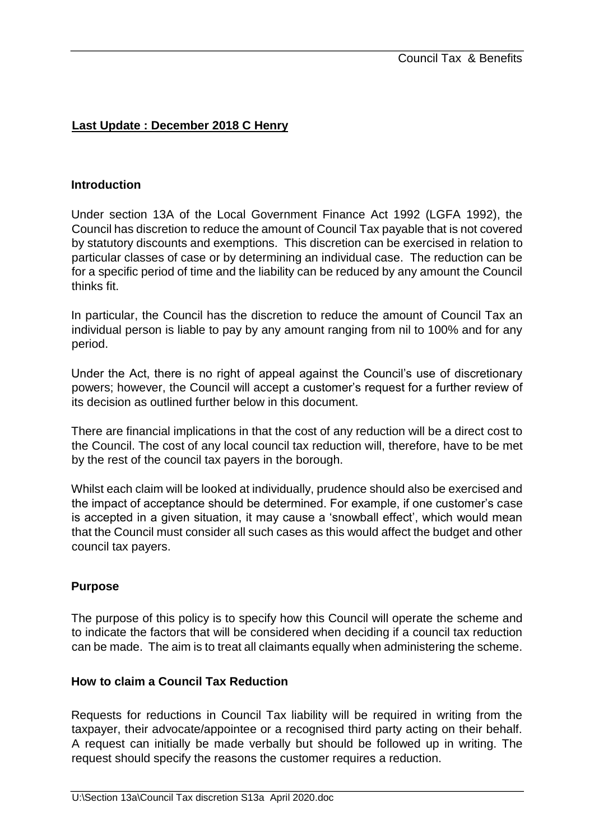# **Last Update : December 2018 C Henry**

#### **Introduction**

Under section 13A of the Local Government Finance Act 1992 (LGFA 1992), the Council has discretion to reduce the amount of Council Tax payable that is not covered by statutory discounts and exemptions. This discretion can be exercised in relation to particular classes of case or by determining an individual case. The reduction can be for a specific period of time and the liability can be reduced by any amount the Council thinks fit.

In particular, the Council has the discretion to reduce the amount of Council Tax an individual person is liable to pay by any amount ranging from nil to 100% and for any period.

Under the Act, there is no right of appeal against the Council's use of discretionary powers; however, the Council will accept a customer's request for a further review of its decision as outlined further below in this document.

There are financial implications in that the cost of any reduction will be a direct cost to the Council. The cost of any local council tax reduction will, therefore, have to be met by the rest of the council tax payers in the borough.

Whilst each claim will be looked at individually, prudence should also be exercised and the impact of acceptance should be determined. For example, if one customer's case is accepted in a given situation, it may cause a 'snowball effect', which would mean that the Council must consider all such cases as this would affect the budget and other council tax payers.

## **Purpose**

The purpose of this policy is to specify how this Council will operate the scheme and to indicate the factors that will be considered when deciding if a council tax reduction can be made. The aim is to treat all claimants equally when administering the scheme.

## **How to claim a Council Tax Reduction**

Requests for reductions in Council Tax liability will be required in writing from the taxpayer, their advocate/appointee or a recognised third party acting on their behalf. A request can initially be made verbally but should be followed up in writing. The request should specify the reasons the customer requires a reduction.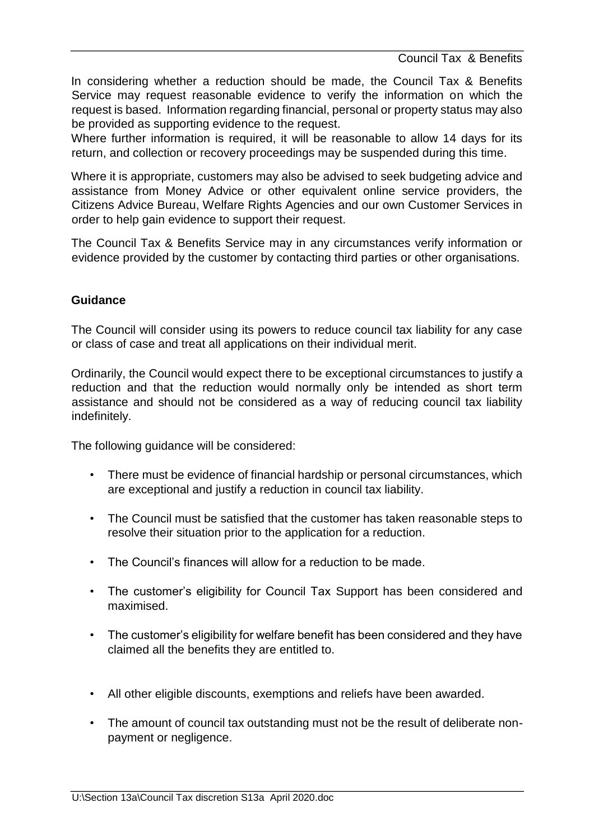Council Tax & Benefits

In considering whether a reduction should be made, the Council Tax & Benefits Service may request reasonable evidence to verify the information on which the request is based. Information regarding financial, personal or property status may also be provided as supporting evidence to the request.

Where further information is required, it will be reasonable to allow 14 days for its return, and collection or recovery proceedings may be suspended during this time.

Where it is appropriate, customers may also be advised to seek budgeting advice and assistance from Money Advice or other equivalent online service providers, the Citizens Advice Bureau, Welfare Rights Agencies and our own Customer Services in order to help gain evidence to support their request.

The Council Tax & Benefits Service may in any circumstances verify information or evidence provided by the customer by contacting third parties or other organisations.

### **Guidance**

The Council will consider using its powers to reduce council tax liability for any case or class of case and treat all applications on their individual merit.

Ordinarily, the Council would expect there to be exceptional circumstances to justify a reduction and that the reduction would normally only be intended as short term assistance and should not be considered as a way of reducing council tax liability indefinitely.

The following guidance will be considered:

- There must be evidence of financial hardship or personal circumstances, which are exceptional and justify a reduction in council tax liability.
- The Council must be satisfied that the customer has taken reasonable steps to resolve their situation prior to the application for a reduction.
- The Council's finances will allow for a reduction to be made.
- The customer's eligibility for Council Tax Support has been considered and maximised.
- The customer's eligibility for welfare benefit has been considered and they have claimed all the benefits they are entitled to.
- All other eligible discounts, exemptions and reliefs have been awarded.
- The amount of council tax outstanding must not be the result of deliberate nonpayment or negligence.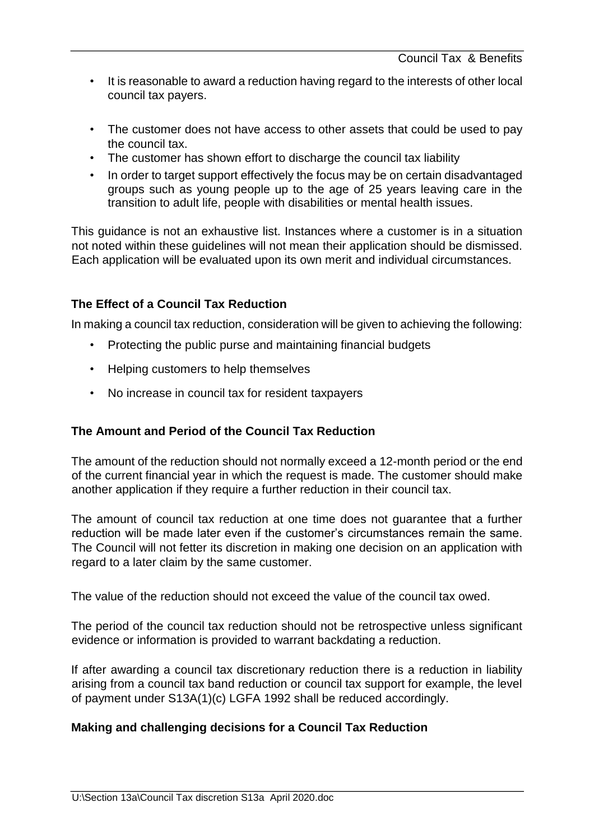- It is reasonable to award a reduction having regard to the interests of other local council tax payers.
- The customer does not have access to other assets that could be used to pay the council tax.
- The customer has shown effort to discharge the council tax liability
- In order to target support effectively the focus may be on certain disadvantaged groups such as young people up to the age of 25 years leaving care in the transition to adult life, people with disabilities or mental health issues.

This guidance is not an exhaustive list. Instances where a customer is in a situation not noted within these guidelines will not mean their application should be dismissed. Each application will be evaluated upon its own merit and individual circumstances.

## **The Effect of a Council Tax Reduction**

In making a council tax reduction, consideration will be given to achieving the following:

- Protecting the public purse and maintaining financial budgets
- Helping customers to help themselves
- No increase in council tax for resident taxpayers

## **The Amount and Period of the Council Tax Reduction**

The amount of the reduction should not normally exceed a 12-month period or the end of the current financial year in which the request is made. The customer should make another application if they require a further reduction in their council tax.

The amount of council tax reduction at one time does not guarantee that a further reduction will be made later even if the customer's circumstances remain the same. The Council will not fetter its discretion in making one decision on an application with regard to a later claim by the same customer.

The value of the reduction should not exceed the value of the council tax owed.

The period of the council tax reduction should not be retrospective unless significant evidence or information is provided to warrant backdating a reduction.

If after awarding a council tax discretionary reduction there is a reduction in liability arising from a council tax band reduction or council tax support for example, the level of payment under S13A(1)(c) LGFA 1992 shall be reduced accordingly.

## **Making and challenging decisions for a Council Tax Reduction**